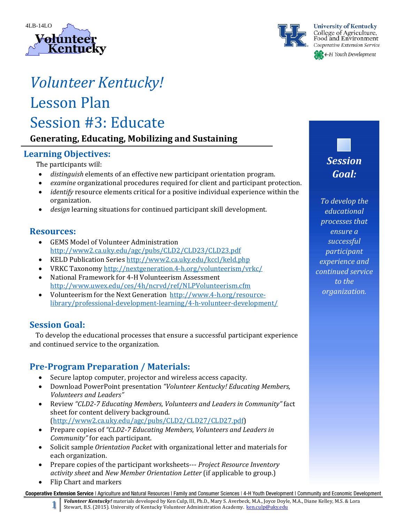



# *Volunteer Kentucky!*

## Lesson Plan Session #3: Educate

## **Generating, Educating, Mobilizing and Sustaining**

## **Learning Objectives:**

The participants will:

- distinguish elements of an effective new participant orientation program.
- *examine* organizational procedures required for client and participant protection.
- *identify* resource elements critical for a positive individual experience within the organization.
- *design* learning situations for continued participant skill development.

## **Resources:**

- GEMS Model of Volunteer Administration http://www2.ca.uky.edu/agc/pubs/CLD2/CLD23/CLD23.pdf
- KELD Publication Series http://www2.ca.uky.edu/kccl/keld.php
- VRKC Taxonomy http://nextgeneration.4-h.org/volunteerism/vrkc/
- National Framework for 4-H Volunteerism Assessment http://www.uwex.edu/ces/4h/ncrvd/ref/NLPVolunteerism.cfm
- Volunteerism for the Next Generation http://www.4-h.org/resourcelibrary/professional‐development‐learning/4‐h‐volunteer‐development/

## **Session Goal:**

To develop the educational processes that ensure a successful participant experience and continued service to the organization.

## **Pre‐Program Preparation / Materials:**

- Secure laptop computer, projector and wireless access capacity.
- Download PowerPoint presentation *"Volunteer Kentucky! Educating Members, Volunteers and Leaders"*
- Review *"CLD2‐7 Educating Members, Volunteers and Leaders in Community"* fact sheet for content delivery background. (http://www2.ca.uky.edu/agc/pubs/CLD2/CLD27/CLD27.pdf)
- Prepare copies of "CLD2-7 Educating Members, Volunteers and Leaders in *Community"* for each participant.
- Solicit sample *Orientation Packet* with organizational letter and materials for each organization.
- Prepare copies of the participant worksheets--- *Project Resource Inventory activity sheet* and *New Member Orientation Letter* (if applicable to group.)
- Flip Chart and markers

Cooperative Extension Service | Agriculture and Natural Resources | Family and Consumer Sciences | 4-H Youth Development | Community and Economic Development

Volunteer Kentucky! materials developed by Ken Culp, III, Ph.D., Mary S. Averbeck, M.A., Joyce Doyle, M.A., Diane Kelley, M.S. & Lora Stewart, B.S. (2015). University of Kentucky Volunteer Administration Academy. ken.culp@uky.edu

*Session Goal:*

*To develop the educational processes that ensure a successful participant experience and continued service to the organization.*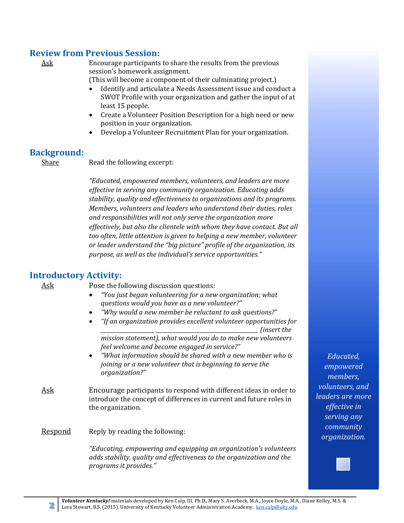## **Review from Previous Session:**

Ask Encourage participants to share the results from the previous session's homework assignment.

(This will become a component of their culminating project.)

- Identify and articulate a Needs Assessment issue and conduct a SWOT Profile with your organization and gather the input of at least 15 people.
- Create a Volunteer Position Description for a high need or new position in your organization.
- Develop a Volunteer Recruitment Plan for your organization.

## **Background:**

Share *Read* the following excerpt:

*"Educated, empowered members, volunteers, and leaders are more effective in serving any community organization. Educating adds stability, quality and effectiveness to organizations and its programs. Members, volunteers and leaders who understand their duties, roles and responsibilities will not only serve the organization more effectively, but also the clientele with whom they have contact. But all too often, little attention is given to helping a new member, volunteer or leader understand the "big picture" profile of the organization, its purpose, as well as the individual's service opportunities."*

## **Introductory Activity:**

Ask Pose the following discussion questions:

- *"You just began volunteering for a new organization; what questions would you have as a new volunteer?"*
- *"Why would a new member be reluctant to ask questions?"*
- *"If an organization provides excellent volunteer opportunities for \_\_\_\_\_\_\_\_\_\_\_\_\_\_\_\_\_\_\_\_ \_\_\_\_\_\_\_\_\_\_\_\_\_\_\_\_\_\_\_\_\_\_\_\_\_\_\_\_\_\_\_\_\_\_\_\_\_\_ (insert the mission statement), what would you do to make new volunteers feel welcome and become engaged in service?"*
- *"What information should be shared with a new member who is joining or a new volunteer that is beginning to serve the organization?"*
- Ask Encourage participants to respond with different ideas in order to introduce the concept of differences in current and future roles in the organization.

#### **Respond** Reply by reading the following:

*"Educating, empowering and equipping an organization's volunteers adds stability, quality and effectiveness to the organization and the programs it provides."*

*Educated, empowered members, volunteers, and leaders are more effective in serving any community organization.*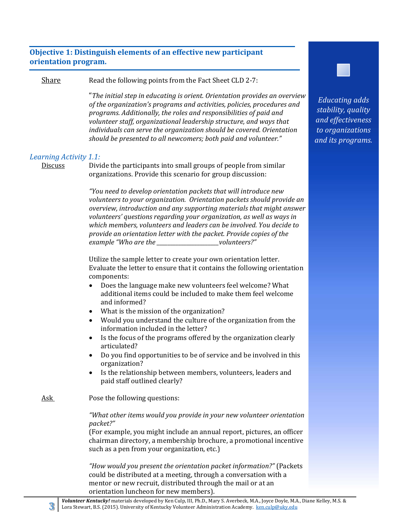#### **Objective 1: Distinguish elements of an effective new participant orientation program.**

Share Read the following points from the Fact Sheet CLD 2-7:

 "*The initial step in educating is orient. Orientation provides an overview of the organization's programs and activities, policies, procedures and programs. Additionally, the roles and responsibilities of paid and volunteer staff, organizational leadership structure, and ways that individuals can serve the organization should be covered. Orientation should be presented to all newcomers; both paid and volunteer."*

#### *Learning Activity 1.1:*

Discuss Divide the participants into small groups of people from similar organizations. Provide this scenario for group discussion:

> *"You need to develop orientation packets that will introduce new volunteers to your organization. Orientation packets should provide an overview, introduction and any supporting materials that might answer volunteers' questions regarding your organization, as well as ways in which members, volunteers and leaders can be involved. You decide to provide an orientation letter with the packet. Provide copies of the example "Who are the \_\_\_\_\_\_\_\_\_\_\_\_\_\_\_\_\_\_\_\_\_\_\_volunteers?"*

> Utilize the sample letter to create your own orientation letter. Evaluate the letter to ensure that it contains the following orientation components:

- Does the language make new volunteers feel welcome? What additional items could be included to make them feel welcome and informed?
- What is the mission of the organization?
- Would you understand the culture of the organization from the information included in the letter?
- $\bullet$  Is the focus of the programs offered by the organization clearly articulated?
- Do you find opportunities to be of service and be involved in this organization?
- Is the relationship between members, volunteers, leaders and paid staff outlined clearly?
- Ask Pose the following questions:

*"What other items would you provide in your new volunteer orientation packet?"* 

(For example, you might include an annual report, pictures, an officer chairman directory, a membership brochure, a promotional incentive such as a pen from your organization, etc.)

*"How would you present the orientation packet information?"* (Packets could be distributed at a meeting, through a conversation with a mentor or new recruit, distributed through the mail or at an orientation luncheon for new members).

*Educating adds stability, quality and effectiveness*

*to organizations and its programs.*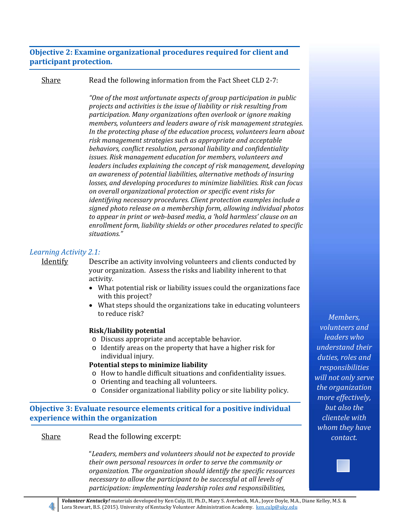#### **Objective 2: Examine organizational procedures required for client and participant protection.**

Share Read the following information from the Fact Sheet CLD 2-7:

*"One of the most unfortunate aspects of group participation in public projects and activities is the issue of liability or risk resulting from participation. Many organizations often overlook or ignore making members, volunteers and leaders aware of risk management strategies. In the protecting phase of the education process, volunteers learn about risk management strategies such as appropriate and acceptable behaviors, conflict resolution, personal liability and confidentiality issues. Risk management education for members, volunteers and leaders includes explaining the concept of risk management, developing an awareness of potential liabilities, alternative methods of insuring losses, and developing procedures to minimize liabilities. Risk can focus on overall organizational protection or specific event risks for identifying necessary procedures. Client protection examples include a signed photo release on a membership form, allowing individual photos to appear in print or web‐based media, a 'hold harmless' clause on an enrollment form, liability shields or other procedures related to specific situations."*

#### *Learning Activity 2.1:*

Identify Describe an activity involving volunteers and clients conducted by your organization. Assess the risks and liability inherent to that activity.

- What potential risk or liability issues could the organizations face with this project?
- What steps should the organizations take in educating volunteers to reduce risk?

#### **Risk/liability potential**

- o Discuss appropriate and acceptable behavior.
- $\circ$  Identify areas on the property that have a higher risk for individual injury.

#### **Potential steps to minimize liability**

- $\circ$  How to handle difficult situations and confidentiality issues.
- $\circ$  Orienting and teaching all volunteers.
- $\circ$  Consider organizational liability policy or site liability policy.

**Objective 3: Evaluate resource elements critical for a positive individual experience within the organization**

#### Share Read the following excerpt:

"*Leaders, members and volunteers should not be expected to provide their own personal resources in order to serve the community or organization. The organization should identify the specific resources necessary to allow the participant to be successful at all levels of participation: implementing leadership roles and responsibilities,*

*Members, volunteers and leaders who understand their duties, roles and responsibilities will not only serve the organization more effectively, but also the clientele with whom they have contact.*

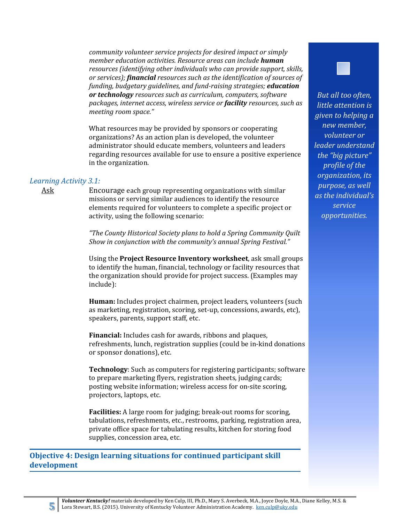*community volunteer service projects for desired impact or simply member education activities. Resource areas can include human resources (identifying other individuals who can provide support, skills, or services); financial resources such as the identification of sources of funding, budgetary guidelines, and fund‐raising strategies; education or technology resources such as curriculum, computers, software packages, internet access, wireless service or facility resources, such as meeting room space."*

What resources may be provided by sponsors or cooperating organizations? As an action plan is developed, the volunteer administrator should educate members, volunteers and leaders regarding resources available for use to ensure a positive experience in the organization.

#### *Learning Activity 3.1:*

Ask Encourage each group representing organizations with similar missions or serving similar audiences to identify the resource elements required for volunteers to complete a specific project or activity, using the following scenario:

> *"The County Historical Society plans to hold a Spring Community Quilt Show in conjunction with the community's annual Spring Festival."*

Using the **Project Resource Inventory worksheet**, ask small groups to identify the human, financial, technology or facility resources that the organization should provide for project success. (Examples may include): 

**Human:** Includes project chairmen, project leaders, volunteers (such as marketing, registration, scoring, set-up, concessions, awards, etc). speakers, parents, support staff, etc.

**Financial:** Includes cash for awards, ribbons and plaques, refreshments, lunch, registration supplies (could be in-kind donations or sponsor donations), etc.

**Technology**: Such as computers for registering participants; software to prepare marketing flyers, registration sheets, judging cards; posting website information; wireless access for on-site scoring, projectors, laptops, etc.

**Facilities:** A large room for judging; break-out rooms for scoring, tabulations, refreshments, etc., restrooms, parking, registration area, private office space for tabulating results, kitchen for storing food supplies, concession area, etc.

**Objective 4: Design learning situations for continued participant skill development**



*But all too often, little attention is given to helping a new member, volunteer or leader understand the "big picture" profile of the organization, its purpose, as well as the individual's service opportunities.*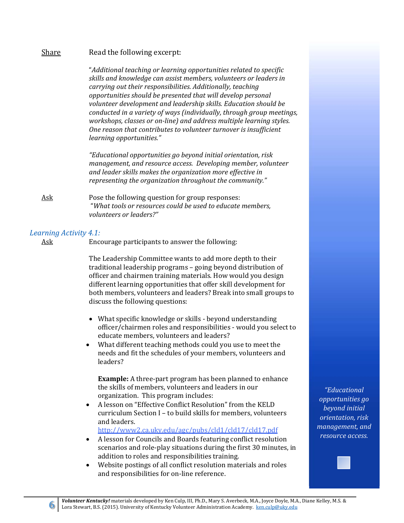$\frac{\text{Share}}{\text{Reader}}$  Read the following excerpt: "*Additional teaching or learning opportunities related to specific skills and knowledge can assist members, volunteers or leaders in*

*carrying out their responsibilities. Additionally, teaching opportunities should be presented that will develop personal volunteer development and leadership skills. Education should be conducted in a variety of ways (individually, through group meetings, workshops, classes or on‐line) and address multiple learning styles. One reason that contributes to volunteer turnover is insufficient learning opportunities."*

*"Educational opportunities go beyond initial orientation, risk management, and resource access. Developing member, volunteer and leader skills makes the organization more effective in representing the organization throughout the community."*

Ask Pose the following question for group responses: "*What tools or resources could be used to educate members, volunteers or leaders?"*

#### *Learning Activity 4.1:*

Ask Encourage participants to answer the following:

The Leadership Committee wants to add more depth to their traditional leadership programs - going beyond distribution of officer and chairmen training materials. How would you design different learning opportunities that offer skill development for both members, volunteers and leaders? Break into small groups to discuss the following questions:

- What specific knowledge or skills beyond understanding officer/chairmen roles and responsibilities - would you select to educate members, volunteers and leaders?
- What different teaching methods could you use to meet the needs and fit the schedules of your members, volunteers and leaders?

**Example:** A three-part program has been planned to enhance the skills of members, volunteers and leaders in our organization. This program includes:

A lesson on "Effective Conflict Resolution" from the KELD curriculum Section I - to build skills for members, volunteers and leaders.

http://www2.ca.uky.edu/agc/pubs/cld1/cld17/cld17.pdf 

- A lesson for Councils and Boards featuring conflict resolution scenarios and role-play situations during the first 30 minutes, in addition to roles and responsibilities training.
- Website postings of all conflict resolution materials and roles and responsibilities for on-line reference.

*"Educational opportunities go beyond initial orientation, risk management, and resource access.*

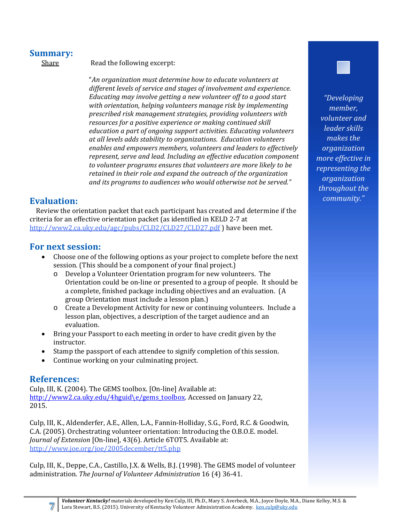## **Summary:**

Share Read the following excerpt:

"*An organization must determine how to educate volunteers at different levels of service and stages of involvement and experience. Educating may involve getting a new volunteer off to a good start with orientation, helping volunteers manage risk by implementing prescribed risk management strategies, providing volunteers with resources for a positive experience or making continued skill education a part of ongoing support activities. Educating volunteers at all levels adds stability to organizations. Education volunteers enables and empowers members, volunteers and leaders to effectively represent, serve and lead. Including an effective education component to volunteer programs ensures that volunteers are more likely to be retained in their role and expand the outreach of the organization and its programs to audiences who would otherwise not be served."*

## **Evaluation:**

Review the orientation packet that each participant has created and determine if the criteria for an effective orientation packet (as identified in KELD 2-7 at http://www2.ca.uky.edu/agc/pubs/CLD2/CLD27/CLD27.pdf) have been met.

## **For next session:**

- Choose one of the following options as your project to complete before the next session. (This should be a component of your final project.)
	- $\circ$  Develop a Volunteer Orientation program for new volunteers. The Orientation could be on-line or presented to a group of people. It should be a complete, finished package including objectives and an evaluation. (A group Orientation must include a lesson plan.)
	- o Create a Development Activity for new or continuing volunteers. Include a lesson plan, objectives, a description of the target audience and an evaluation.
- Bring your Passport to each meeting in order to have credit given by the instructor.
- Stamp the passport of each attendee to signify completion of this session.
- Continue working on your culminating project.

## **References:**

Culp, III, K. (2004). The GEMS toolbox. [On-line] Available at: http://www2.ca.uky.edu/4hguid\e/gems\_toolbox. Accessed on January 22, 2015. 

Culp, III, K., Aldenderfer, A.E., Allen, L.A., Fannin-Holliday, S.G., Ford, R.C. & Goodwin, C.A. (2005). Orchestrating volunteer orientation: Introducing the O.B.O.E. model. *Journal of Extension* [On-line], 43(6). Article 6TOT5. Available at: http://www.joe.org/joe/2005december/tt5.php 

Culp, III, K., Deppe, C.A., Castillo, J.X. & Wells, B.J. (1998). The GEMS model of volunteer administration. *The Journal of Volunteer Administration* 16 (4) 36‐41. 



*"Developing member, volunteer and leader skills makes the organization more effective in representing the organization throughout the community."*